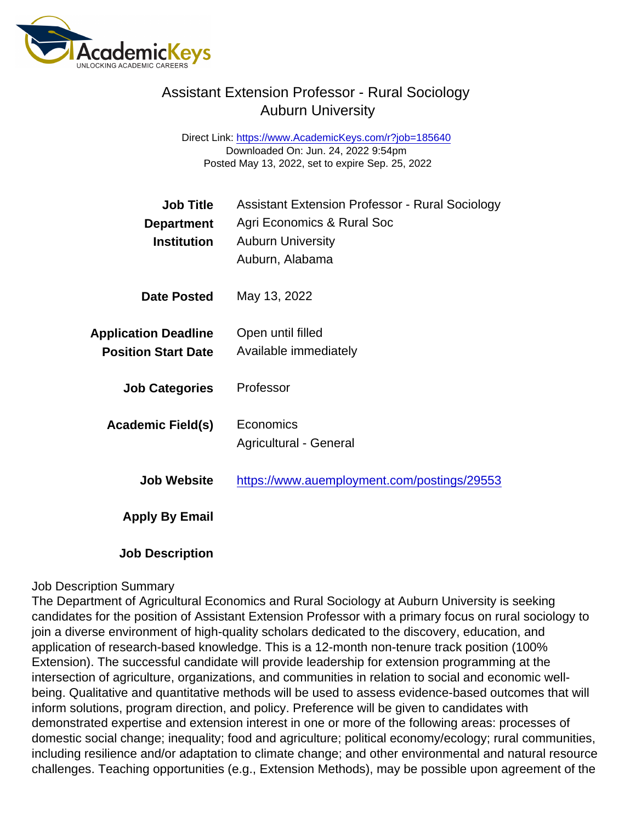### Assistant Extension Professor - Rural Sociology Auburn University

Direct Link: <https://www.AcademicKeys.com/r?job=185640> Downloaded On: Jun. 24, 2022 9:54pm Posted May 13, 2022, set to expire Sep. 25, 2022

| <b>Job Title</b><br>Department<br>Institution             | <b>Assistant Extension Professor - Rural Sociology</b><br>Agri Economics & Rural Soc<br><b>Auburn University</b><br>Auburn, Alabama |
|-----------------------------------------------------------|-------------------------------------------------------------------------------------------------------------------------------------|
| Date Posted                                               | May 13, 2022                                                                                                                        |
| <b>Application Deadline</b><br><b>Position Start Date</b> | Open until filled<br>Available immediately                                                                                          |
| <b>Job Categories</b>                                     | Professor                                                                                                                           |
| Academic Field(s)                                         | Economics<br>Agricultural - General                                                                                                 |
| Job Website                                               | https://www.auemployment.com/postings/29553                                                                                         |
| Apply By Email                                            |                                                                                                                                     |
| <b>Job Description</b>                                    |                                                                                                                                     |

#### Job Description Summary

The Department of Agricultural Economics and Rural Sociology at Auburn University is seeking candidates for the position of Assistant Extension Professor with a primary focus on rural sociology to join a diverse environment of high-quality scholars dedicated to the discovery, education, and application of research-based knowledge. This is a 12-month non-tenure track position (100% Extension). The successful candidate will provide leadership for extension programming at the intersection of agriculture, organizations, and communities in relation to social and economic wellbeing. Qualitative and quantitative methods will be used to assess evidence-based outcomes that will inform solutions, program direction, and policy. Preference will be given to candidates with demonstrated expertise and extension interest in one or more of the following areas: processes of domestic social change; inequality; food and agriculture; political economy/ecology; rural communities, including resilience and/or adaptation to climate change; and other environmental and natural resource challenges. Teaching opportunities (e.g., Extension Methods), may be possible upon agreement of the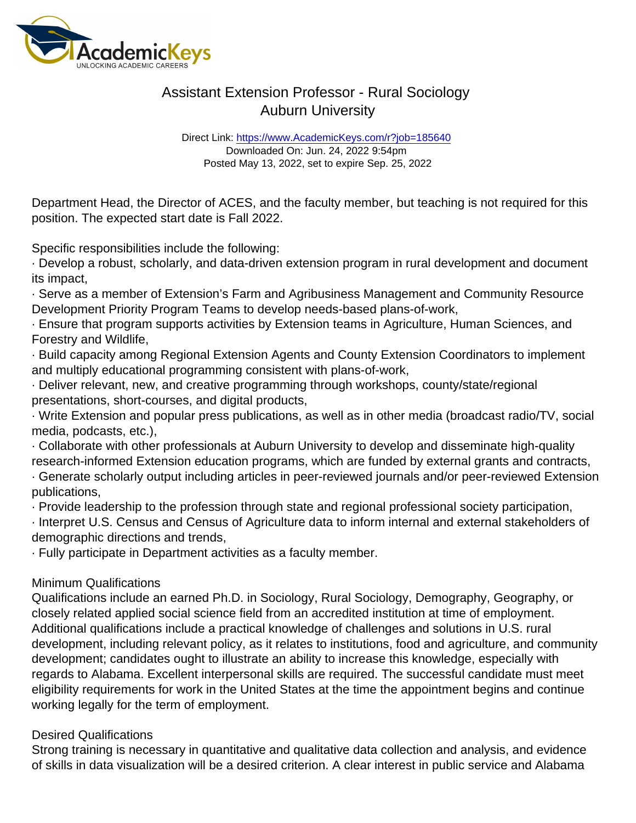# Assistant Extension Professor - Rural Sociology Auburn University

Direct Link: <https://www.AcademicKeys.com/r?job=185640> Downloaded On: Jun. 24, 2022 9:54pm Posted May 13, 2022, set to expire Sep. 25, 2022

Department Head, the Director of ACES, and the faculty member, but teaching is not required for this position. The expected start date is Fall 2022.

Specific responsibilities include the following:

· Develop a robust, scholarly, and data-driven extension program in rural development and document its impact,

· Serve as a member of Extension's Farm and Agribusiness Management and Community Resource Development Priority Program Teams to develop needs-based plans-of-work,

· Ensure that program supports activities by Extension teams in Agriculture, Human Sciences, and Forestry and Wildlife,

· Build capacity among Regional Extension Agents and County Extension Coordinators to implement and multiply educational programming consistent with plans-of-work,

· Deliver relevant, new, and creative programming through workshops, county/state/regional presentations, short-courses, and digital products,

· Write Extension and popular press publications, as well as in other media (broadcast radio/TV, social media, podcasts, etc.),

· Collaborate with other professionals at Auburn University to develop and disseminate high-quality research-informed Extension education programs, which are funded by external grants and contracts,

· Generate scholarly output including articles in peer-reviewed journals and/or peer-reviewed Extension publications,

· Provide leadership to the profession through state and regional professional society participation,

· Interpret U.S. Census and Census of Agriculture data to inform internal and external stakeholders of demographic directions and trends,

· Fully participate in Department activities as a faculty member.

### Minimum Qualifications

Qualifications include an earned Ph.D. in Sociology, Rural Sociology, Demography, Geography, or closely related applied social science field from an accredited institution at time of employment. Additional qualifications include a practical knowledge of challenges and solutions in U.S. rural development, including relevant policy, as it relates to institutions, food and agriculture, and community development; candidates ought to illustrate an ability to increase this knowledge, especially with regards to Alabama. Excellent interpersonal skills are required. The successful candidate must meet eligibility requirements for work in the United States at the time the appointment begins and continue working legally for the term of employment.

### Desired Qualifications

Strong training is necessary in quantitative and qualitative data collection and analysis, and evidence of skills in data visualization will be a desired criterion. A clear interest in public service and Alabama